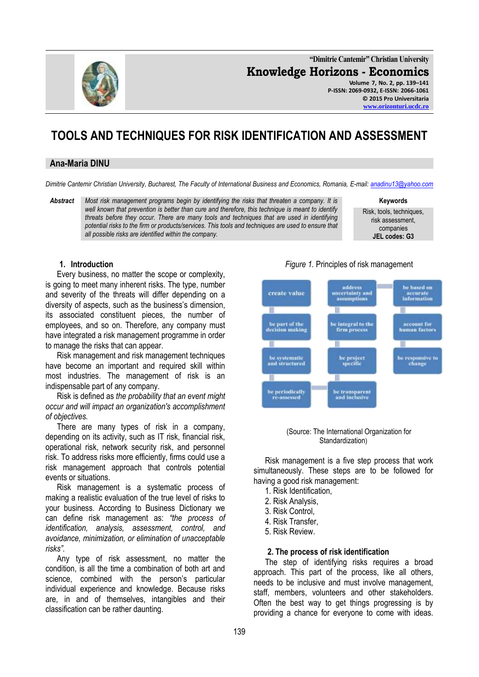

**"Dimitrie Cantemir" Christian University Knowledge Horizons - Economics Volume 7, No. 2, pp. 139–141 P-ISSN: 2069-0932, E-ISSN: 2066-1061 © 2015 Pro Universitaria**

**[www.orizonturi.ucdc.ro](http://www.orizonturi.ucdc.ro/)**

# **TOOLS AND TECHNIQUES FOR RISK IDENTIFICATION AND ASSESSMENT**

## **Ana-Maria DINU**

*Dimitrie Cantemir Christian University, Bucharest, The Faculty of International Business and Economics, Romania, E-mail[: anadinu13@yahoo.com](mailto:anadinu13@yahoo.com)*

*Abstract Most risk management programs begin by identifying the risks that threaten a company. It is well known that prevention is better than cure and therefore, this technique is meant to identify threats before they occur. There are many tools and techniques that are used in identifying potential risks to the firm or products/services. This tools and techniques are used to ensure that all possible risks are identified within the company.*

**Keywords**

Risk, tools, techniques, risk assessment, companies **JEL codes: G3**

#### **1. Introduction**

Every business, no matter the scope or complexity, is going to meet many inherent risks. The type, number and severity of the threats will differ depending on a diversity of aspects, such as the business's dimension, its associated constituent pieces, the number of employees, and so on. Therefore, any company must have integrated a risk management programme in order to manage the risks that can appear.

Risk management and risk management techniques have become an important and required skill within most industries. The management of risk is an indispensable part of any company.

Risk is defined as *the probability that an event might occur and will impact an organization's accomplishment of objectives.*

There are many types of risk in a company, depending on its activity, such as IT risk, financial risk, operational risk, network security risk, and personnel risk. To address risks more efficiently, firms could use a risk management approach that controls potential events or situations.

Risk management is a systematic process of making a realistic evaluation of the true level of risks to your business. According to Business Dictionary we can define risk management as: *"the process of identification, analysis, assessment, control, and avoidance, minimization, or elimination of unacceptable risks".*

Any type of risk assessment, no matter the condition, is all the time a combination of both art and science, combined with the person's particular individual experience and knowledge. Because risks are, in and of themselves, intangibles and their classification can be rather daunting.



(Source: The International Organization for Standardization)

be transparent<br>and inclusive

Risk management is a five step process that work simultaneously. These steps are to be followed for having a good risk management:

1. Risk Identification,

be periodically

-assessed

- 2. Risk Analysis,
- 3. Risk Control,
- 4. Risk Transfer,
- 5. Risk Review.

#### **2. The process of risk identification**

The step of identifying risks requires a broad approach. This part of the process, like all others, needs to be inclusive and must involve management, staff, members, volunteers and other stakeholders. Often the best way to get things progressing is by providing a chance for everyone to come with ideas.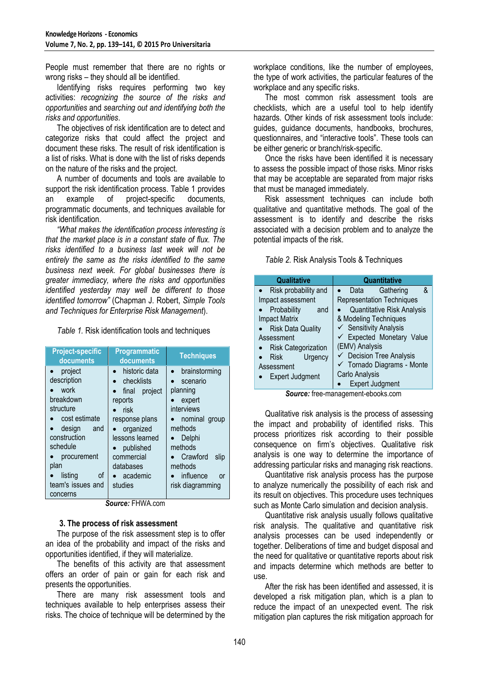People must remember that there are no rights or wrong risks – they should all be identified.

Identifying risks requires performing two key activities: *recognizing the source of the risks and opportunities* and *searching out and identifying both the risks and opportunities*.

The objectives of risk identification are to detect and categorize risks that could affect the project and document these risks. The result of risk identification is a list of risks. What is done with the list of risks depends on the nature of the risks and the project.

A number of documents and tools are available to support the risk identification process. Table 1 provides an example of project-specific documents, programmatic documents, and techniques available for risk identification.

*"What makes the identification process interesting is that the market place is in a constant state of flux. The risks identified to a business last week will not be entirely the same as the risks identified to the same business next week. For global businesses there is greater immediacy, where the risks and opportunities identified yesterday may well be different to those identified tomorrow"* (Chapman J. Robert, *Simple Tools and Techniques for Enterprise Risk Management*).

*Table 1.* Risk identification tools and techniques

| <b>Project-specific</b><br>documents                                                                                                                                                            | Programmatic<br>documents                                                                                                                                                        | <b>Techniques</b>                                                                                                                                                                    |
|-------------------------------------------------------------------------------------------------------------------------------------------------------------------------------------------------|----------------------------------------------------------------------------------------------------------------------------------------------------------------------------------|--------------------------------------------------------------------------------------------------------------------------------------------------------------------------------------|
| project<br>description<br>work<br>breakdown<br>structure<br>cost estimate<br>design<br>and<br>construction<br>schedule<br>procurement<br>plan<br>listing<br>οf<br>team's issues and<br>concerns | historic data<br>checklists<br>final project<br>reports<br>risk<br>response plans<br>organized<br>lessons learned<br>published<br>commercial<br>databases<br>academic<br>studies | brainstorming<br>scenario<br>planning<br>expert<br>interviews<br>nominal group<br>methods<br>Delphi<br>methods<br>Crawford<br>slip<br>methods<br>influence<br>or<br>risk diagramming |

*Source:* FHWA.com

### **3. The process of risk assessment**

The purpose of the risk assessment step is to offer an idea of the probability and impact of the risks and opportunities identified, if they will materialize.

The benefits of this activity are that assessment offers an order of pain or gain for each risk and presents the opportunities.

There are many risk assessment tools and techniques available to help enterprises assess their risks. The choice of technique will be determined by the workplace conditions, like the number of employees, the type of work activities, the particular features of the workplace and any specific risks.

The most common risk assessment tools are checklists, which are a useful tool to help identify hazards. Other kinds of risk assessment tools include: guides, guidance documents, handbooks, brochures, questionnaires, and "interactive tools". These tools can be either generic or branch/risk-specific.

Once the risks have been identified it is necessary to assess the possible impact of those risks. Minor risks that may be acceptable are separated from major risks that must be managed immediately.

Risk assessment techniques can include both qualitative and quantitative methods. The goal of the assessment is to identify and describe the risks associated with a decision problem and to analyze the potential impacts of the risk.

*Table 2.* Risk Analysis Tools & Techniques

| Qualitative                | Quantitative                        |  |  |
|----------------------------|-------------------------------------|--|--|
| Risk probability and       | &<br>Gathering<br>Data              |  |  |
| Impact assessment          | <b>Representation Techniques</b>    |  |  |
| Probability<br>and         | <b>Quantitative Risk Analysis</b>   |  |  |
| <b>Impact Matrix</b>       | & Modeling Techniques               |  |  |
| <b>Risk Data Quality</b>   | $\checkmark$ Sensitivity Analysis   |  |  |
| Assessment                 | ← Expected Monetary Value           |  |  |
| <b>Risk Categorization</b> | (EMV) Analysis                      |  |  |
| Urgency<br><b>Risk</b>     | $\checkmark$ Decision Tree Analysis |  |  |
| Assessment                 | ← Tornado Diagrams - Monte          |  |  |
| <b>Expert Judgment</b>     | Carlo Analysis                      |  |  |
|                            | <b>Expert Judgment</b>              |  |  |

*Source:* free-management-ebooks.com

Qualitative risk analysis is the process of assessing the impact and probability of identified risks. This process prioritizes risk according to their possible consequence on firm's objectives. Qualitative risk analysis is one way to determine the importance of addressing particular risks and managing risk reactions.

Quantitative risk analysis process has the purpose to analyze numerically the possibility of each risk and its result on objectives. This procedure uses techniques such as Monte Carlo simulation and decision analysis.

Quantitative risk analysis usually follows qualitative risk analysis. The qualitative and quantitative risk analysis processes can be used independently or together. Deliberations of time and budget disposal and the need for qualitative or quantitative reports about risk and impacts determine which methods are better to use.

After the risk has been identified and assessed, it is developed a risk mitigation plan, which is a plan to reduce the impact of an unexpected event. The risk mitigation plan captures the risk mitigation approach for